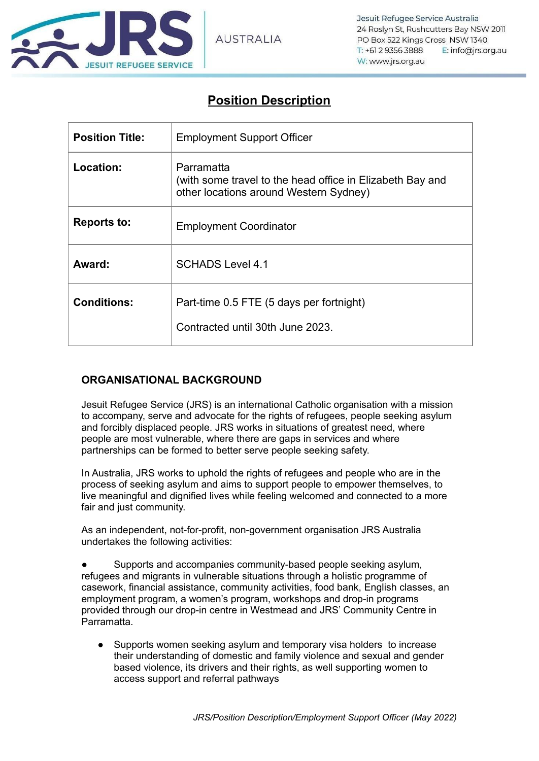

# **Position Description**

| <b>Position Title:</b> | <b>Employment Support Officer</b>                                                                                 |
|------------------------|-------------------------------------------------------------------------------------------------------------------|
| Location:              | Parramatta<br>(with some travel to the head office in Elizabeth Bay and<br>other locations around Western Sydney) |
| <b>Reports to:</b>     | <b>Employment Coordinator</b>                                                                                     |
| Award:                 | <b>SCHADS Level 4.1</b>                                                                                           |
| <b>Conditions:</b>     | Part-time 0.5 FTE (5 days per fortnight)<br>Contracted until 30th June 2023.                                      |

## **ORGANISATIONAL BACKGROUND**

Jesuit Refugee Service (JRS) is an international Catholic organisation with a mission to accompany, serve and advocate for the rights of refugees, people seeking asylum and forcibly displaced people. JRS works in situations of greatest need, where people are most vulnerable, where there are gaps in services and where partnerships can be formed to better serve people seeking safety.

In Australia, JRS works to uphold the rights of refugees and people who are in the process of seeking asylum and aims to support people to empower themselves, to live meaningful and dignified lives while feeling welcomed and connected to a more fair and just community.

As an independent, not-for-profit, non-government organisation JRS Australia undertakes the following activities:

Supports and accompanies community-based people seeking asylum, refugees and migrants in vulnerable situations through a holistic programme of casework, financial assistance, community activities, food bank, English classes, an employment program, a women's program, workshops and drop-in programs provided through our drop-in centre in Westmead and JRS' Community Centre in Parramatta.

● Supports women seeking asylum and temporary visa holders to increase their understanding of domestic and family violence and sexual and gender based violence, its drivers and their rights, as well supporting women to access support and referral pathways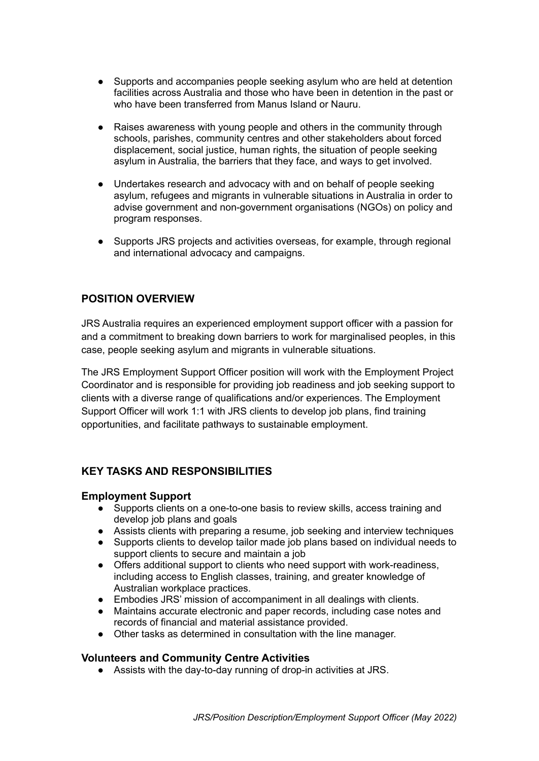- Supports and accompanies people seeking asylum who are held at detention facilities across Australia and those who have been in detention in the past or who have been transferred from Manus Island or Nauru.
- Raises awareness with young people and others in the community through schools, parishes, community centres and other stakeholders about forced displacement, social justice, human rights, the situation of people seeking asylum in Australia, the barriers that they face, and ways to get involved.
- Undertakes research and advocacy with and on behalf of people seeking asylum, refugees and migrants in vulnerable situations in Australia in order to advise government and non-government organisations (NGOs) on policy and program responses.
- Supports JRS projects and activities overseas, for example, through regional and international advocacy and campaigns.

## **POSITION OVERVIEW**

JRS Australia requires an experienced employment support officer with a passion for and a commitment to breaking down barriers to work for marginalised peoples, in this case, people seeking asylum and migrants in vulnerable situations.

The JRS Employment Support Officer position will work with the Employment Project Coordinator and is responsible for providing job readiness and job seeking support to clients with a diverse range of qualifications and/or experiences. The Employment Support Officer will work 1:1 with JRS clients to develop job plans, find training opportunities, and facilitate pathways to sustainable employment.

## **KEY TASKS AND RESPONSIBILITIES**

#### **Employment Support**

- Supports clients on a one-to-one basis to review skills, access training and develop job plans and goals
- Assists clients with preparing a resume, job seeking and interview techniques
- Supports clients to develop tailor made job plans based on individual needs to support clients to secure and maintain a job
- Offers additional support to clients who need support with work-readiness, including access to English classes, training, and greater knowledge of Australian workplace practices.
- Embodies JRS' mission of accompaniment in all dealings with clients.
- Maintains accurate electronic and paper records, including case notes and records of financial and material assistance provided.
- Other tasks as determined in consultation with the line manager.

#### **Volunteers and Community Centre Activities**

● Assists with the day-to-day running of drop-in activities at JRS.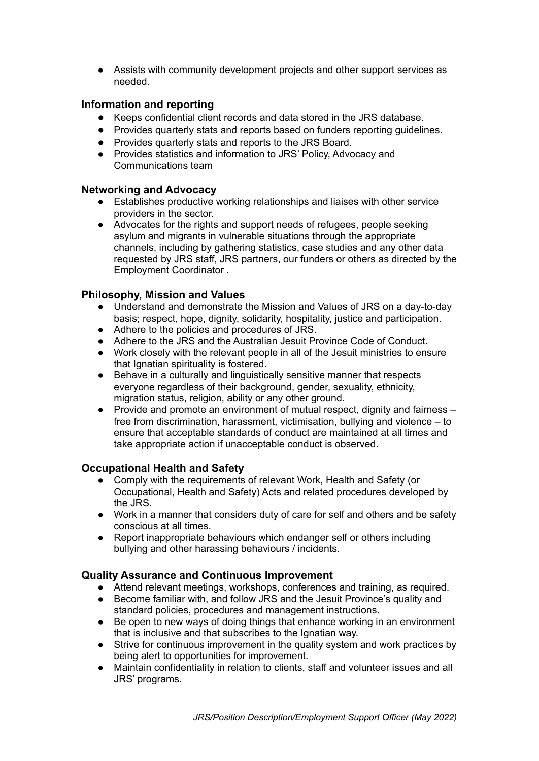● Assists with community development projects and other support services as needed.

## **Information and reporting**

- Keeps confidential client records and data stored in the JRS database.
- Provides quarterly stats and reports based on funders reporting guidelines.
- Provides quarterly stats and reports to the JRS Board.
- Provides statistics and information to JRS' Policy, Advocacy and Communications team

#### **Networking and Advocacy**

- Establishes productive working relationships and liaises with other service providers in the sector.
- Advocates for the rights and support needs of refugees, people seeking asylum and migrants in vulnerable situations through the appropriate channels, including by gathering statistics, case studies and any other data requested by JRS staff, JRS partners, our funders or others as directed by the Employment Coordinator .

## **Philosophy, Mission and Values**

- Understand and demonstrate the Mission and Values of JRS on a day-to-day basis; respect, hope, dignity, solidarity, hospitality, justice and participation.
- Adhere to the policies and procedures of JRS.
- Adhere to the JRS and the Australian Jesuit Province Code of Conduct.
- Work closely with the relevant people in all of the Jesuit ministries to ensure that Ignatian spirituality is fostered.
- Behave in a culturally and linguistically sensitive manner that respects everyone regardless of their background, gender, sexuality, ethnicity, migration status, religion, ability or any other ground.
- Provide and promote an environment of mutual respect, dignity and fairness free from discrimination, harassment, victimisation, bullying and violence – to ensure that acceptable standards of conduct are maintained at all times and take appropriate action if unacceptable conduct is observed.

## **Occupational Health and Safety**

- Comply with the requirements of relevant Work, Health and Safety (or Occupational, Health and Safety) Acts and related procedures developed by the JRS.
- Work in a manner that considers duty of care for self and others and be safety conscious at all times.
- Report inappropriate behaviours which endanger self or others including bullying and other harassing behaviours / incidents.

## **Quality Assurance and Continuous Improvement**

- Attend relevant meetings, workshops, conferences and training, as required.
- Become familiar with, and follow JRS and the Jesuit Province's quality and standard policies, procedures and management instructions.
- Be open to new ways of doing things that enhance working in an environment that is inclusive and that subscribes to the Ignatian way.
- Strive for continuous improvement in the quality system and work practices by being alert to opportunities for improvement.
- Maintain confidentiality in relation to clients, staff and volunteer issues and all JRS' programs.